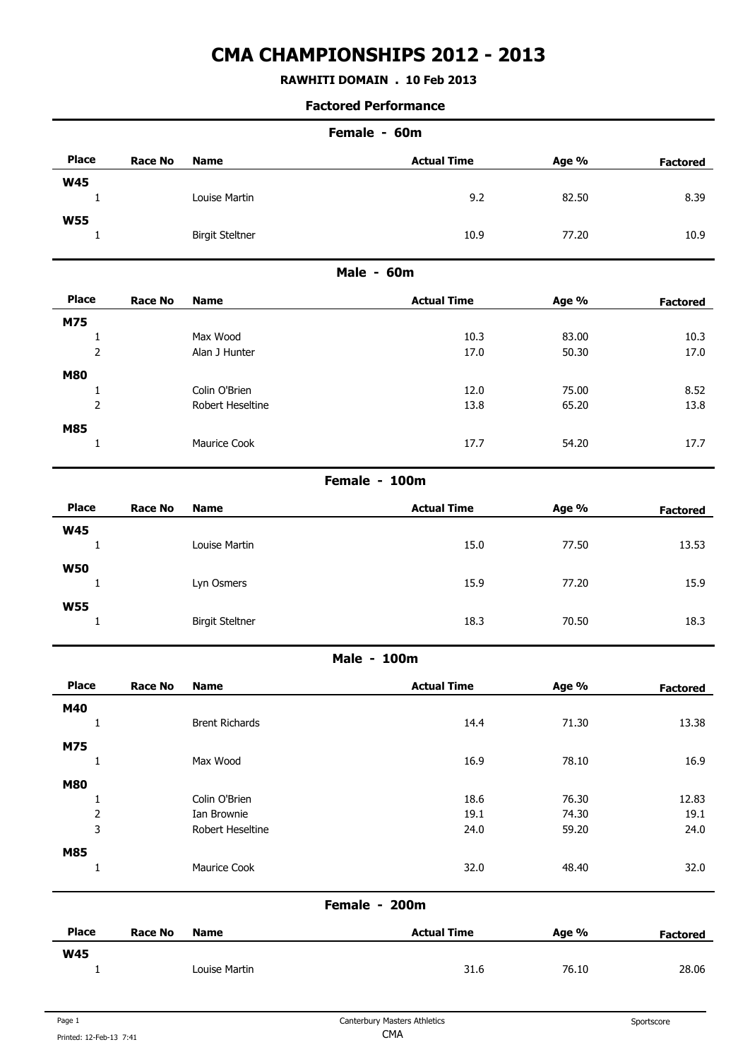## **RAWHITI DOMAIN . 10 Feb 2013**

| Female - 60m                   |                |                           |                    |                |                 |  |
|--------------------------------|----------------|---------------------------|--------------------|----------------|-----------------|--|
| <b>Place</b>                   | <b>Race No</b> | <b>Name</b>               | <b>Actual Time</b> | Age %          | <b>Factored</b> |  |
| <b>W45</b>                     |                |                           |                    |                |                 |  |
| $\mathbf{1}$                   |                | Louise Martin             | 9.2                | 82.50          | 8.39            |  |
| <b>W55</b>                     |                |                           |                    |                |                 |  |
| $\mathbf{1}$                   |                | <b>Birgit Steltner</b>    | 10.9               | 77.20          | 10.9            |  |
|                                |                |                           | Male - 60m         |                |                 |  |
| <b>Place</b>                   | <b>Race No</b> | <b>Name</b>               | <b>Actual Time</b> | Age %          | <b>Factored</b> |  |
| M75                            |                |                           |                    |                |                 |  |
| $\mathbf 1$<br>$\mathbf 2$     |                | Max Wood<br>Alan J Hunter | 10.3<br>17.0       | 83.00<br>50.30 | 10.3<br>17.0    |  |
|                                |                |                           |                    |                |                 |  |
| <b>M80</b><br>$\mathbf{1}$     |                | Colin O'Brien             | 12.0               | 75.00          | 8.52            |  |
| $\mathbf 2$                    |                | Robert Heseltine          | 13.8               | 65.20          | 13.8            |  |
| <b>M85</b>                     |                |                           |                    |                |                 |  |
| $\mathbf{1}$                   |                | Maurice Cook              | 17.7               | 54.20          | 17.7            |  |
|                                |                |                           | Female - 100m      |                |                 |  |
| <b>Place</b>                   | <b>Race No</b> | <b>Name</b>               | <b>Actual Time</b> | Age %          | <b>Factored</b> |  |
| <b>W45</b>                     |                |                           |                    |                |                 |  |
| 1                              |                | Louise Martin             | 15.0               | 77.50          | 13.53           |  |
| <b>W50</b>                     |                |                           |                    |                |                 |  |
| $\mathbf{1}$                   |                | Lyn Osmers                | 15.9               | 77.20          | 15.9            |  |
| <b>W55</b>                     |                |                           |                    |                |                 |  |
| $\mathbf{1}$                   |                | <b>Birgit Steltner</b>    | 18.3               | 70.50          | 18.3            |  |
|                                |                |                           | Male - 100m        |                |                 |  |
| <b>Place</b>                   | Race No        | Name                      | <b>Actual Time</b> | Age %          | <b>Factored</b> |  |
| M40                            |                |                           |                    |                |                 |  |
| $\mathbf{1}$                   |                | <b>Brent Richards</b>     | 14.4               | 71.30          | 13.38           |  |
| M75                            |                |                           |                    |                |                 |  |
| $\mathbf{1}$                   |                | Max Wood                  | 16.9               | 78.10          | 16.9            |  |
| <b>M80</b>                     |                | Colin O'Brien             | 18.6               | 76.30          | 12.83           |  |
| $\mathbf{1}$<br>$\mathsf{2}\,$ |                | Ian Brownie               | 19.1               | 74.30          | 19.1            |  |
| $\overline{3}$                 |                | Robert Heseltine          | 24.0               | 59.20          | 24.0            |  |
| <b>M85</b>                     |                |                           |                    |                |                 |  |
| $\mathbf{1}$                   |                | Maurice Cook              | 32.0               | 48.40          | 32.0            |  |
|                                |                |                           | Female - 200m      |                |                 |  |
|                                |                |                           |                    |                |                 |  |
| <b>Place</b>                   | <b>Race No</b> | <b>Name</b>               | <b>Actual Time</b> | Age %          | <b>Factored</b> |  |
| <b>W45</b><br>$\mathbf{1}$     |                | Louise Martin             | 31.6               | 76.10          | 28.06           |  |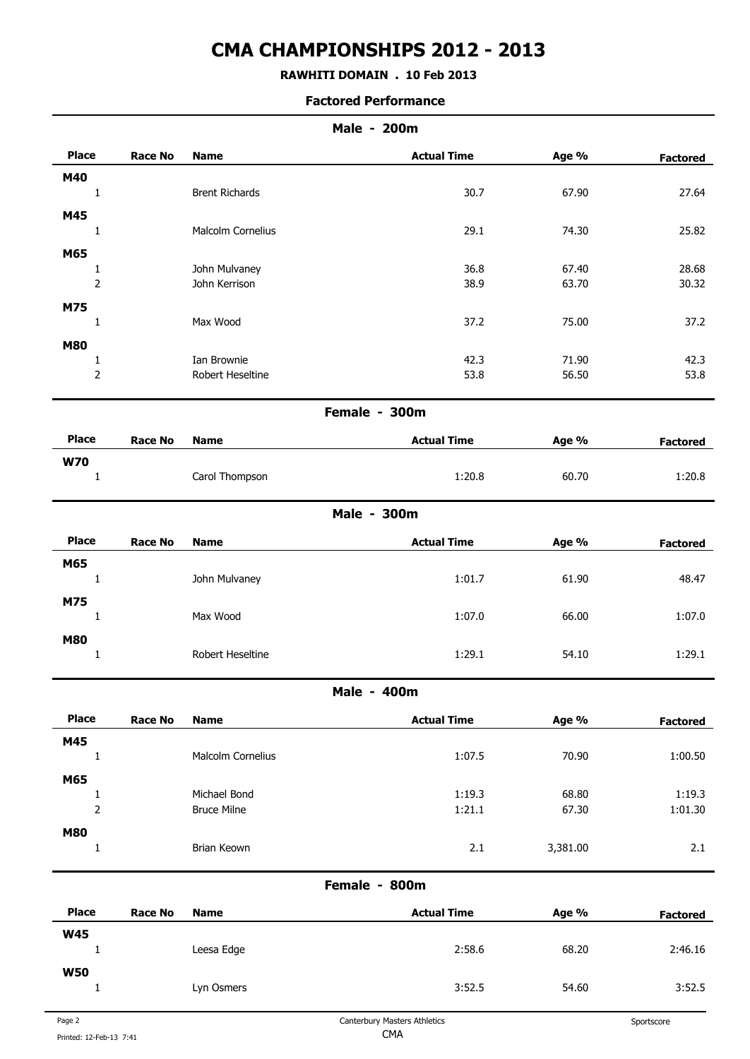## **RAWHITI DOMAIN . 10 Feb 2013**

|                |                |                       | <b>Male - 200m</b> |          |                 |
|----------------|----------------|-----------------------|--------------------|----------|-----------------|
| <b>Place</b>   | <b>Race No</b> | <b>Name</b>           | <b>Actual Time</b> | Age %    | <b>Factored</b> |
| M40            |                |                       |                    |          |                 |
| $\mathbf{1}$   |                | <b>Brent Richards</b> | 30.7               | 67.90    | 27.64           |
| M45            |                |                       |                    |          |                 |
| $\mathbf{1}$   |                | Malcolm Cornelius     | 29.1               | 74.30    | 25.82           |
| M65            |                |                       |                    |          |                 |
| $\mathbf{1}$   |                | John Mulvaney         | 36.8               | 67.40    | 28.68           |
| $\mathbf 2$    |                | John Kerrison         | 38.9               | 63.70    | 30.32           |
| M75            |                |                       |                    |          |                 |
| $\mathbf{1}$   |                | Max Wood              | 37.2               | 75.00    | 37.2            |
| <b>M80</b>     |                |                       |                    |          |                 |
| $\mathbf{1}$   |                | Ian Brownie           | 42.3               | 71.90    | 42.3            |
| $\overline{2}$ |                | Robert Heseltine      | 53.8               | 56.50    | 53.8            |
|                |                |                       | Female - 300m      |          |                 |
| <b>Place</b>   | <b>Race No</b> | <b>Name</b>           | <b>Actual Time</b> | Age %    | <b>Factored</b> |
| <b>W70</b>     |                |                       |                    |          |                 |
| $\mathbf{1}$   |                | Carol Thompson        | 1:20.8             | 60.70    | 1:20.8          |
|                |                |                       | <b>Male - 300m</b> |          |                 |
| <b>Place</b>   | <b>Race No</b> | <b>Name</b>           | <b>Actual Time</b> | Age %    | <b>Factored</b> |
| M65            |                |                       |                    |          |                 |
| $\mathbf{1}$   |                | John Mulvaney         | 1:01.7             | 61.90    | 48.47           |
| M75            |                |                       |                    |          |                 |
| $\mathbf{1}$   |                | Max Wood              | 1:07.0             | 66.00    | 1:07.0          |
| <b>M80</b>     |                |                       |                    |          |                 |
| $\mathbf{1}$   |                | Robert Heseltine      | 1:29.1             | 54.10    | 1:29.1          |
|                |                |                       | Male - 400m        |          |                 |
| <b>Place</b>   | <b>Race No</b> | <b>Name</b>           | <b>Actual Time</b> | Age %    | <b>Factored</b> |
| M45            |                |                       |                    |          |                 |
| $1\,$          |                | Malcolm Cornelius     | 1:07.5             | 70.90    | 1:00.50         |
| M65            |                |                       |                    |          |                 |
| $\mathbf{1}$   |                | Michael Bond          | 1:19.3             | 68.80    | 1:19.3          |
| $\overline{2}$ |                | <b>Bruce Milne</b>    | 1:21.1             | 67.30    | 1:01.30         |
| <b>M80</b>     |                |                       |                    |          |                 |
| $\mathbf 1$    |                | Brian Keown           | 2.1                | 3,381.00 | 2.1             |
|                |                |                       | Female - 800m      |          |                 |
| <b>Place</b>   | <b>Race No</b> | <b>Name</b>           | <b>Actual Time</b> | Age %    | <b>Factored</b> |
| <b>W45</b>     |                |                       |                    |          |                 |
| $\mathbf 1$    |                | Leesa Edge            | 2:58.6             | 68.20    | 2:46.16         |
| <b>W50</b>     |                |                       |                    |          |                 |
| $\mathbf 1$    |                | Lyn Osmers            | 3:52.5             | 54.60    | 3:52.5          |
|                |                |                       |                    |          |                 |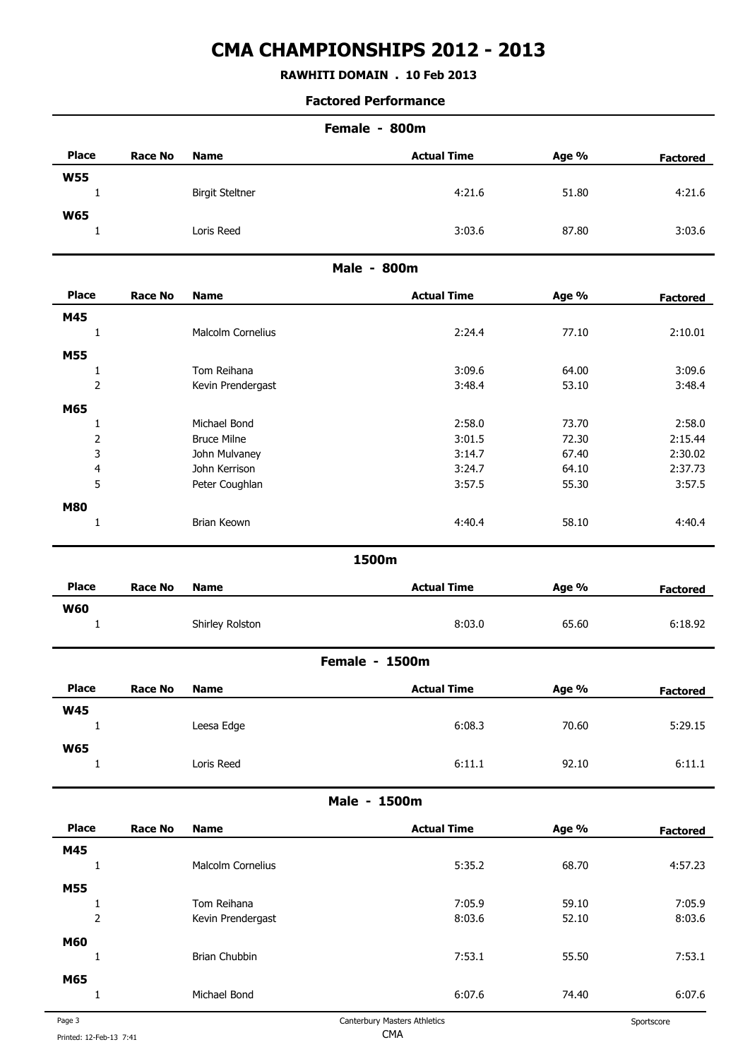## **RAWHITI DOMAIN . 10 Feb 2013**

#### **Factored Performance**

| Female - 800m  |                |                        |                       |       |                 |  |
|----------------|----------------|------------------------|-----------------------|-------|-----------------|--|
| <b>Place</b>   | <b>Race No</b> | <b>Name</b>            | <b>Actual Time</b>    | Age % | <b>Factored</b> |  |
| <b>W55</b>     |                |                        |                       |       |                 |  |
| $\mathbf{1}$   |                | <b>Birgit Steltner</b> | 4:21.6                | 51.80 | 4:21.6          |  |
| <b>W65</b>     |                |                        |                       |       |                 |  |
| $\mathbf{1}$   |                | Loris Reed             | 3:03.6                | 87.80 | 3:03.6          |  |
|                |                |                        | <b>Male - 800m</b>    |       |                 |  |
| <b>Place</b>   | <b>Race No</b> | <b>Name</b>            | <b>Actual Time</b>    | Age % | <b>Factored</b> |  |
| M45            |                |                        |                       |       |                 |  |
| 1              |                | Malcolm Cornelius      | 2:24.4                | 77.10 | 2:10.01         |  |
| M55            |                |                        |                       |       |                 |  |
| $\mathbf{1}$   |                | Tom Reihana            | 3:09.6                | 64.00 | 3:09.6          |  |
| $\overline{2}$ |                | Kevin Prendergast      | 3:48.4                | 53.10 | 3:48.4          |  |
| M65            |                |                        |                       |       |                 |  |
| $\mathbf{1}$   |                | Michael Bond           | 2:58.0                | 73.70 | 2:58.0          |  |
| $\mathbf 2$    |                | <b>Bruce Milne</b>     | 3:01.5                | 72.30 | 2:15.44         |  |
| 3              |                | John Mulvaney          | 3:14.7                | 67.40 | 2:30.02         |  |
| 4              |                | John Kerrison          | 3:24.7                | 64.10 | 2:37.73         |  |
| 5              |                | Peter Coughlan         | 3:57.5                | 55.30 | 3:57.5          |  |
|                |                |                        |                       |       |                 |  |
| <b>M80</b>     |                | Brian Keown            | 4:40.4                | 58.10 | 4:40.4          |  |
| $\mathbf{1}$   |                |                        |                       |       |                 |  |
|                |                |                        | 1500m                 |       |                 |  |
| <b>Place</b>   | <b>Race No</b> | <b>Name</b>            | <b>Actual Time</b>    | Age % | <b>Factored</b> |  |
| <b>W60</b>     |                |                        |                       |       |                 |  |
| $\mathbf{1}$   |                | Shirley Rolston        | 8:03.0                | 65.60 | 6:18.92         |  |
|                |                |                        | <b>Female - 1500m</b> |       |                 |  |
| <b>Place</b>   | <b>Race No</b> | <b>Name</b>            | <b>Actual Time</b>    | Age % | <b>Factored</b> |  |
| <b>W45</b>     |                |                        |                       |       |                 |  |
| $\mathbf{1}$   |                | Leesa Edge             | 6:08.3                | 70.60 | 5:29.15         |  |
| <b>W65</b>     |                |                        |                       |       |                 |  |
| $\mathbf{1}$   |                | Loris Reed             | 6:11.1                | 92.10 | 6:11.1          |  |
|                |                |                        | Male - 1500m          |       |                 |  |
| <b>Place</b>   | <b>Race No</b> | <b>Name</b>            | <b>Actual Time</b>    | Age % | <b>Factored</b> |  |
| M45            |                |                        |                       |       |                 |  |
| $1\,$          |                | Malcolm Cornelius      | 5:35.2                | 68.70 | 4:57.23         |  |
|                |                |                        |                       |       |                 |  |
| <b>M55</b>     |                |                        |                       |       |                 |  |
| $1\,$          |                | Tom Reihana            | 7:05.9                | 59.10 | 7:05.9          |  |
| $\overline{2}$ |                | Kevin Prendergast      | 8:03.6                | 52.10 | 8:03.6          |  |
| M60            |                |                        |                       |       |                 |  |
| $\mathbf{1}$   |                | Brian Chubbin          | 7:53.1                | 55.50 | 7:53.1          |  |
| M65            |                |                        |                       |       |                 |  |
|                |                |                        |                       |       |                 |  |

1 Michael Bond 6:07.6 74.40 6:07.6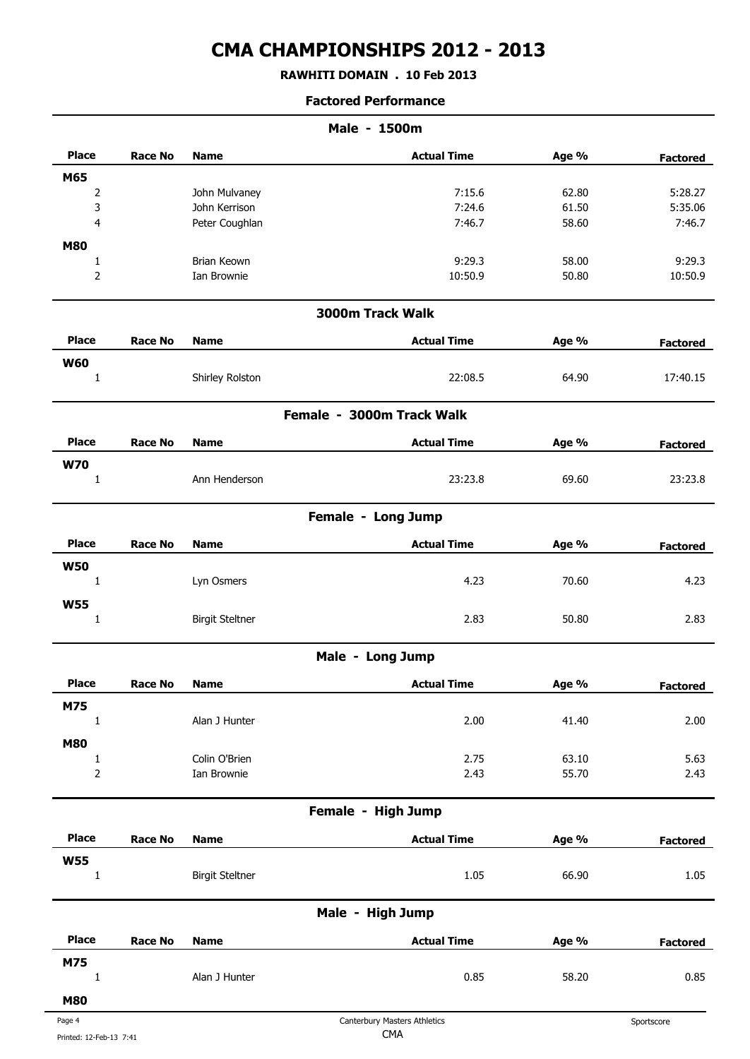**RAWHITI DOMAIN . 10 Feb 2013**

| <b>Place</b><br><b>Actual Time</b><br><b>Race No</b><br>Age %<br><b>Name</b><br>M65 | <b>Factored</b> |
|-------------------------------------------------------------------------------------|-----------------|
|                                                                                     |                 |
|                                                                                     |                 |
| 7:15.6<br>2<br>John Mulvaney<br>62.80                                               | 5:28.27         |
| 3<br>John Kerrison<br>7:24.6<br>61.50                                               | 5:35.06         |
| $\overline{\mathbf{4}}$<br>Peter Coughlan<br>7:46.7<br>58.60                        | 7:46.7          |
| <b>M80</b>                                                                          |                 |
| Brian Keown<br>9:29.3<br>58.00<br>$\mathbf{1}$                                      | 9:29.3          |
| $\mathbf 2$<br>Ian Brownie<br>10:50.9<br>50.80                                      | 10:50.9         |
| 3000m Track Walk                                                                    |                 |
| <b>Place</b><br><b>Actual Time</b><br><b>Race No</b><br>Age %<br><b>Name</b>        | <b>Factored</b> |
| <b>W60</b>                                                                          |                 |
| Shirley Rolston<br>22:08.5<br>64.90<br>$\mathbf{1}$                                 | 17:40.15        |
| Female - 3000m Track Walk                                                           |                 |
| <b>Place</b><br><b>Actual Time</b><br><b>Race No</b><br><b>Name</b><br>Age %        | <b>Factored</b> |
| <b>W70</b>                                                                          |                 |
| Ann Henderson<br>23:23.8<br>69.60<br>1                                              | 23:23.8         |
| Female - Long Jump                                                                  |                 |
| <b>Place</b><br><b>Actual Time</b><br><b>Race No</b><br><b>Name</b><br>Age %        | <b>Factored</b> |
| <b>W50</b>                                                                          |                 |
| Lyn Osmers<br>4.23<br>$\mathbf{1}$<br>70.60                                         | 4.23            |
| <b>W55</b>                                                                          |                 |
| <b>Birgit Steltner</b><br>2.83<br>50.80<br>$\mathbf{1}$                             | 2.83            |
| Male - Long Jump                                                                    |                 |
| <b>Place</b><br>Race No<br><b>Name</b><br><b>Actual Time</b><br>Age %               | <b>Factored</b> |
| M75                                                                                 |                 |
| $\mathbf 1$<br>Alan J Hunter<br>2.00<br>41.40                                       | 2.00            |
| <b>M80</b>                                                                          |                 |
| Colin O'Brien<br>2.75<br>63.10<br>$\mathbf{1}$                                      | 5.63            |
| $\mathbf 2$<br>Ian Brownie<br>2.43<br>55.70                                         | 2.43            |
| Female - High Jump                                                                  |                 |
| <b>Place</b><br><b>Actual Time</b><br><b>Race No</b><br><b>Name</b><br>Age %        | <b>Factored</b> |
| <b>W55</b>                                                                          |                 |
| <b>Birgit Steltner</b><br>1.05<br>66.90<br>$\mathbf{1}$                             | 1.05            |
| Male - High Jump                                                                    |                 |
| <b>Place</b><br><b>Actual Time</b><br><b>Race No</b><br><b>Name</b><br>Age %        | <b>Factored</b> |
| M75                                                                                 |                 |
|                                                                                     | 0.85            |
| $\mathbf 1$<br>Alan J Hunter<br>0.85<br>58.20                                       |                 |
| <b>M80</b>                                                                          |                 |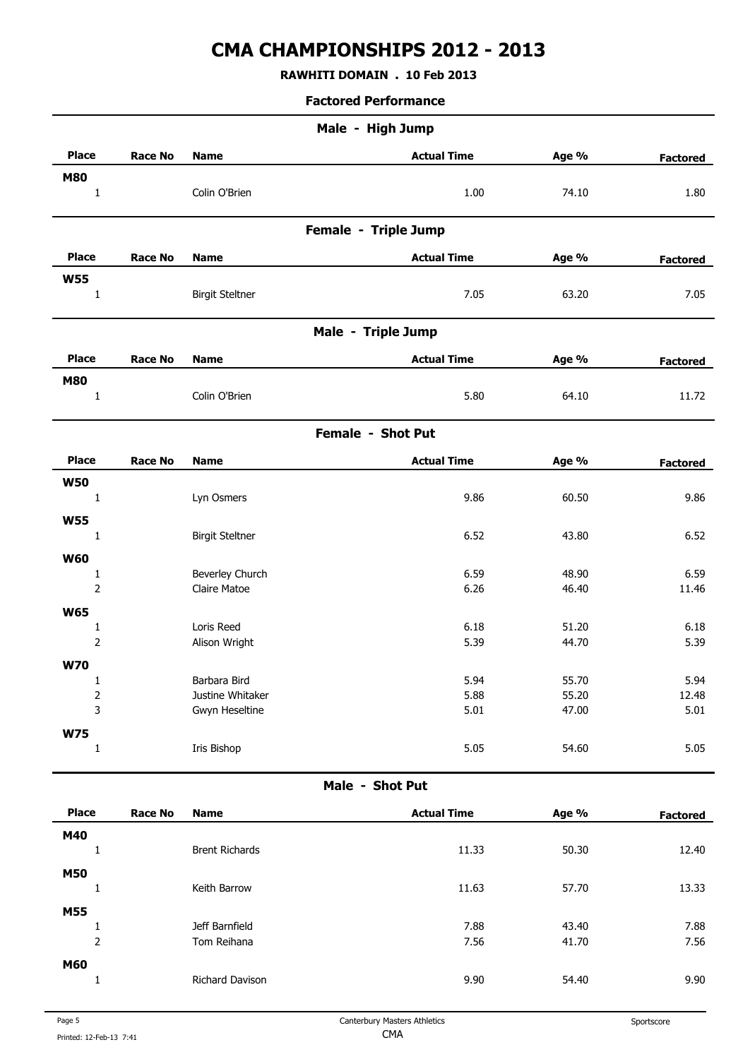## **RAWHITI DOMAIN . 10 Feb 2013**

| Male - High Jump            |                |                                    |                      |                |                 |  |
|-----------------------------|----------------|------------------------------------|----------------------|----------------|-----------------|--|
| <b>Place</b>                | <b>Race No</b> | <b>Name</b>                        | <b>Actual Time</b>   | Age %          | <b>Factored</b> |  |
| <b>M80</b><br>$\mathbf 1$   |                | Colin O'Brien                      | 1.00                 | 74.10          | 1.80            |  |
|                             |                |                                    | Female - Triple Jump |                |                 |  |
| <b>Place</b>                | <b>Race No</b> | <b>Name</b>                        | <b>Actual Time</b>   | Age %          | <b>Factored</b> |  |
| <b>W55</b><br>$\mathbf{1}$  |                | <b>Birgit Steltner</b>             | 7.05                 | 63.20          | 7.05            |  |
|                             |                |                                    | Male - Triple Jump   |                |                 |  |
| <b>Place</b>                | <b>Race No</b> | <b>Name</b>                        | <b>Actual Time</b>   | Age %          | <b>Factored</b> |  |
| <b>M80</b><br>$\mathbf{1}$  |                | Colin O'Brien                      | 5.80                 | 64.10          | 11.72           |  |
|                             |                |                                    | Female - Shot Put    |                |                 |  |
| <b>Place</b>                | <b>Race No</b> | <b>Name</b>                        | <b>Actual Time</b>   | Age %          | <b>Factored</b> |  |
| <b>W50</b><br>$\mathbf{1}$  |                | Lyn Osmers                         | 9.86                 | 60.50          | 9.86            |  |
| <b>W55</b>                  |                |                                    |                      |                |                 |  |
| $\mathbf{1}$                |                | <b>Birgit Steltner</b>             | 6.52                 | 43.80          | 6.52            |  |
| <b>W60</b>                  |                | Beverley Church                    | 6.59                 | 48.90          | 6.59            |  |
| $\mathbf{1}$<br>$\mathbf 2$ |                | Claire Matoe                       | 6.26                 | 46.40          | 11.46           |  |
| <b>W65</b>                  |                |                                    |                      |                |                 |  |
| $\mathbf{1}$                |                | Loris Reed                         | 6.18                 | 51.20          | 6.18            |  |
| $\overline{2}$              |                | Alison Wright                      | 5.39                 | 44.70          | 5.39            |  |
| <b>W70</b>                  |                |                                    |                      |                |                 |  |
| 1                           |                | Barbara Bird                       | 5.94                 | 55.70          | 5.94            |  |
| $\overline{\mathbf{c}}$     |                | Justine Whitaker<br>Gwyn Heseltine | 5.88<br>5.01         | 55.20<br>47.00 | 12.48<br>5.01   |  |
|                             |                |                                    |                      |                |                 |  |
| 3<br><b>W75</b>             |                |                                    |                      |                |                 |  |

| <b>Place</b> | <b>Race No</b> | <b>Name</b>           | <b>Actual Time</b> | Age % | <b>Factored</b> |
|--------------|----------------|-----------------------|--------------------|-------|-----------------|
| M40          |                |                       |                    |       |                 |
|              | J.             | <b>Brent Richards</b> | 11.33              | 50.30 | 12.40           |
| <b>M50</b>   |                |                       |                    |       |                 |
|              | <b>L</b>       | Keith Barrow          | 11.63              | 57.70 | 13.33           |
| <b>M55</b>   |                |                       |                    |       |                 |
|              |                | Jeff Barnfield        | 7.88               | 43.40 | 7.88            |
|              | $\overline{2}$ | Tom Reihana           | 7.56               | 41.70 | 7.56            |
| <b>M60</b>   |                |                       |                    |       |                 |
|              |                | Richard Davison       | 9.90               | 54.40 | 9.90            |
|              |                |                       |                    |       |                 |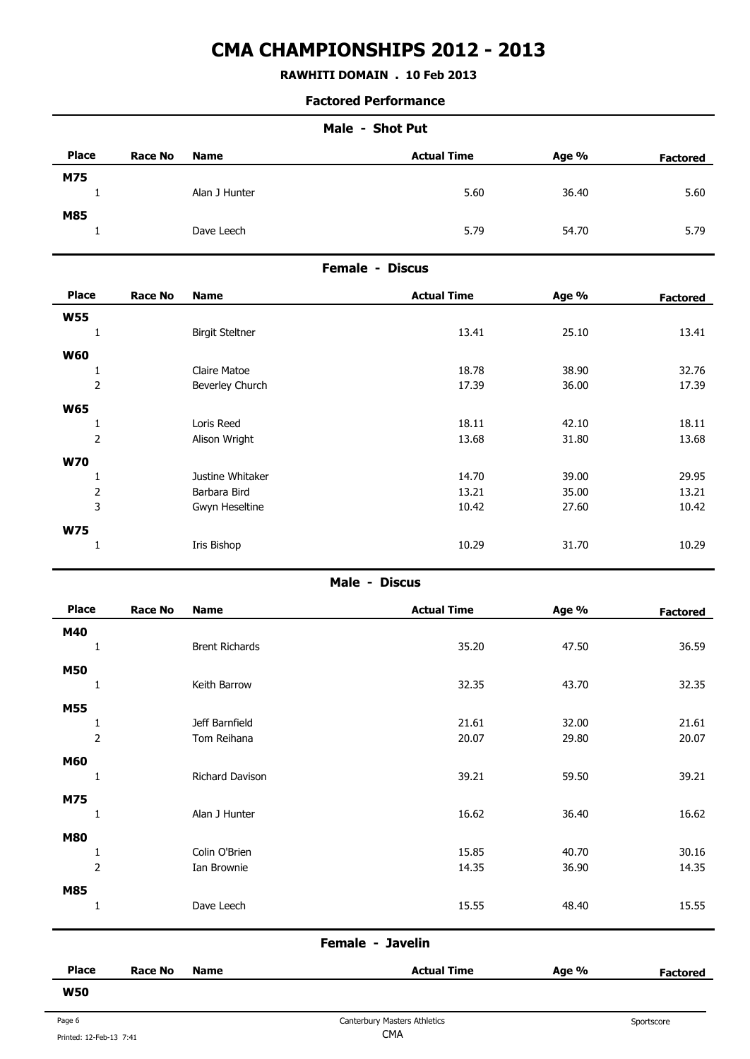## **RAWHITI DOMAIN . 10 Feb 2013**

#### **Factored Performance**

| <b>Place</b> | <b>Race No</b> | <b>Name</b>   | <b>Actual Time</b> | Age % | <b>Factored</b> |
|--------------|----------------|---------------|--------------------|-------|-----------------|
| M75          |                | Alan J Hunter | 5.60               | 36.40 | 5.60            |
| M85          |                | Dave Leech    | 5.79               | 54.70 | 5.79            |

### **Female - Discus**

| <b>Place</b>   | <b>Race No</b> | <b>Name</b>            | <b>Actual Time</b> | Age % | <b>Factored</b> |
|----------------|----------------|------------------------|--------------------|-------|-----------------|
| <b>W55</b>     |                |                        |                    |       |                 |
| 1              |                | <b>Birgit Steltner</b> | 13.41              | 25.10 | 13.41           |
|                |                |                        |                    |       |                 |
| <b>W60</b>     |                |                        |                    |       |                 |
| 1              |                | Claire Matoe           | 18.78              | 38.90 | 32.76           |
| $\mathbf 2$    |                | Beverley Church        | 17.39              | 36.00 | 17.39           |
| <b>W65</b>     |                |                        |                    |       |                 |
| 1              |                | Loris Reed             | 18.11              | 42.10 | 18.11           |
| $\mathbf 2$    |                | Alison Wright          | 13.68              | 31.80 | 13.68           |
| <b>W70</b>     |                |                        |                    |       |                 |
|                |                | Justine Whitaker       | 14.70              | 39.00 | 29.95           |
| $\overline{2}$ |                | Barbara Bird           | 13.21              | 35.00 | 13.21           |
| 3              |                | Gwyn Heseltine         | 10.42              | 27.60 | 10.42           |
| <b>W75</b>     |                |                        |                    |       |                 |
| 1              |                | Iris Bishop            | 10.29              | 31.70 | 10.29           |
|                |                |                        |                    |       |                 |

#### **Male - Discus**

| <b>Place</b>   | <b>Race No</b> | <b>Name</b>           | <b>Actual Time</b> | Age % | <b>Factored</b> |
|----------------|----------------|-----------------------|--------------------|-------|-----------------|
| M40            |                |                       |                    |       |                 |
|                |                | <b>Brent Richards</b> | 35.20              | 47.50 | 36.59           |
| <b>M50</b>     |                |                       |                    |       |                 |
| 1              |                | Keith Barrow          | 32.35              | 43.70 | 32.35           |
| <b>M55</b>     |                |                       |                    |       |                 |
| 1              |                | Jeff Barnfield        | 21.61              | 32.00 | 21.61           |
| $\overline{2}$ |                | Tom Reihana           | 20.07              | 29.80 | 20.07           |
| <b>M60</b>     |                |                       |                    |       |                 |
| $\mathbf{1}$   |                | Richard Davison       | 39.21              | 59.50 | 39.21           |
| M75            |                |                       |                    |       |                 |
| 1              |                | Alan J Hunter         | 16.62              | 36.40 | 16.62           |
|                |                |                       |                    |       |                 |
| <b>M80</b>     |                | Colin O'Brien         | 15.85              | 40.70 | 30.16           |
| $\mathbf 2$    |                | Ian Brownie           | 14.35              | 36.90 | 14.35           |
|                |                |                       |                    |       |                 |
| M85<br>1       |                | Dave Leech            | 15.55              | 48.40 | 15.55           |
|                |                |                       |                    |       |                 |
|                |                |                       | Female - Javelin   |       |                 |

| <b>Place</b> | <b>Race No</b> | Name | <b>Actual Time</b> | Age % | -actored |
|--------------|----------------|------|--------------------|-------|----------|
| <b>W50</b>   |                |      |                    |       |          |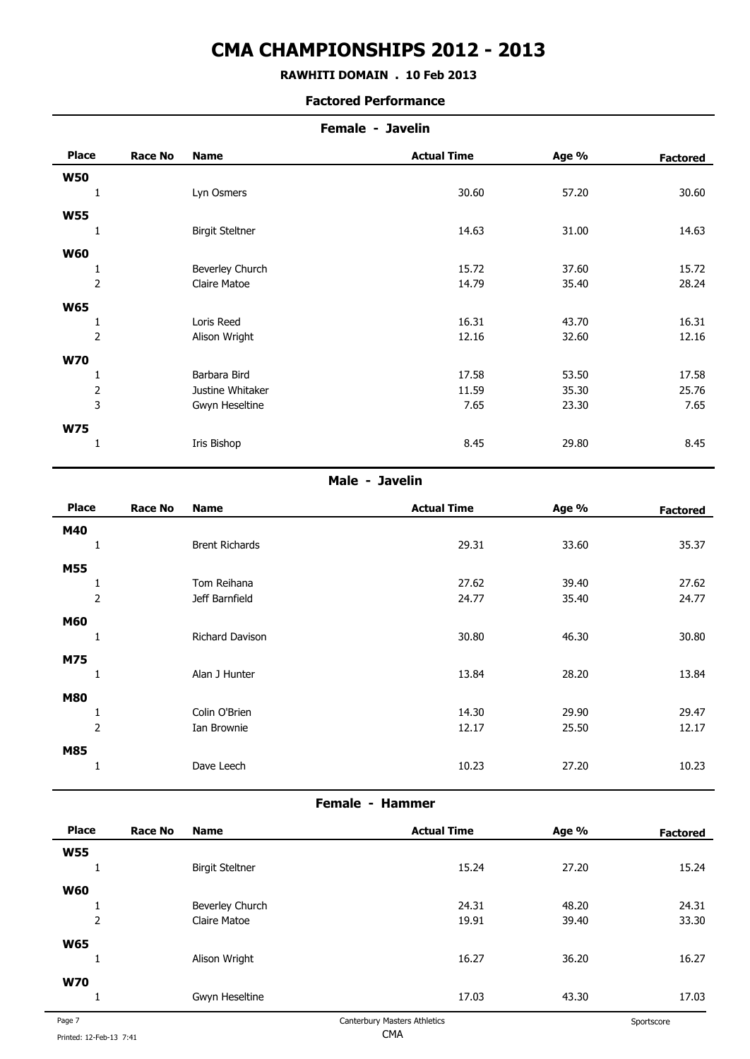## **RAWHITI DOMAIN . 10 Feb 2013**

#### **Factored Performance**

|                |                | Female - Javelin       |                    |       |                 |  |
|----------------|----------------|------------------------|--------------------|-------|-----------------|--|
| <b>Place</b>   | <b>Race No</b> | <b>Name</b>            | <b>Actual Time</b> | Age % | <b>Factored</b> |  |
| <b>W50</b>     |                |                        |                    |       |                 |  |
|                |                | Lyn Osmers             | 30.60              | 57.20 | 30.60           |  |
| <b>W55</b>     |                |                        |                    |       |                 |  |
|                |                | <b>Birgit Steltner</b> | 14.63              | 31.00 | 14.63           |  |
| <b>W60</b>     |                |                        |                    |       |                 |  |
| 1              |                | Beverley Church        | 15.72              | 37.60 | 15.72           |  |
| $\overline{2}$ |                | Claire Matoe           | 14.79              | 35.40 | 28.24           |  |
| <b>W65</b>     |                |                        |                    |       |                 |  |
| L,             |                | Loris Reed             | 16.31              | 43.70 | 16.31           |  |
| $\overline{2}$ |                | Alison Wright          | 12.16              | 32.60 | 12.16           |  |
| <b>W70</b>     |                |                        |                    |       |                 |  |
|                |                | Barbara Bird           | 17.58              | 53.50 | 17.58           |  |
| $\overline{2}$ |                | Justine Whitaker       | 11.59              | 35.30 | 25.76           |  |
| 3              |                | Gwyn Heseltine         | 7.65               | 23.30 | 7.65            |  |
| <b>W75</b>     |                |                        |                    |       |                 |  |
|                |                | Iris Bishop            | 8.45               | 29.80 | 8.45            |  |
|                |                |                        |                    |       |                 |  |

#### **Male - Javelin**

| <b>Place</b>   | <b>Race No</b> | <b>Name</b>           | <b>Actual Time</b> | Age % | <b>Factored</b> |
|----------------|----------------|-----------------------|--------------------|-------|-----------------|
| M40            |                |                       |                    |       |                 |
|                |                | <b>Brent Richards</b> | 29.31              | 33.60 | 35.37           |
| <b>M55</b>     |                |                       |                    |       |                 |
|                |                | Tom Reihana           | 27.62              | 39.40 | 27.62           |
|                | $\overline{2}$ | Jeff Barnfield        | 24.77              | 35.40 | 24.77           |
| <b>M60</b>     |                |                       |                    |       |                 |
|                |                | Richard Davison       | 30.80              | 46.30 | 30.80           |
| M75            |                |                       |                    |       |                 |
| <b>J</b>       |                | Alan J Hunter         | 13.84              | 28.20 | 13.84           |
| <b>M80</b>     |                |                       |                    |       |                 |
| л.             |                | Colin O'Brien         | 14.30              | 29.90 | 29.47           |
| $\overline{2}$ |                | Ian Brownie           | 12.17              | 25.50 | 12.17           |
| M85            |                |                       |                    |       |                 |
|                |                | Dave Leech            | 10.23              | 27.20 | 10.23           |
|                |                |                       |                    |       |                 |

## **Female - Hammer**

| <b>Place</b>   | <b>Race No</b> | <b>Name</b>            | <b>Actual Time</b>           | Age % | <b>Factored</b> |
|----------------|----------------|------------------------|------------------------------|-------|-----------------|
| <b>W55</b>     |                |                        |                              |       |                 |
|                |                | <b>Birgit Steltner</b> | 15.24                        | 27.20 | 15.24           |
| <b>W60</b>     |                |                        |                              |       |                 |
|                |                | Beverley Church        | 24.31                        | 48.20 | 24.31           |
| $\overline{2}$ |                | Claire Matoe           | 19.91                        | 39.40 | 33.30           |
| <b>W65</b>     |                |                        |                              |       |                 |
|                |                | Alison Wright          | 16.27                        | 36.20 | 16.27           |
| <b>W70</b>     |                |                        |                              |       |                 |
|                |                | Gwyn Heseltine         | 17.03                        | 43.30 | 17.03           |
| Page 7         |                |                        | Canterbury Masters Athletics |       | Sportscore      |